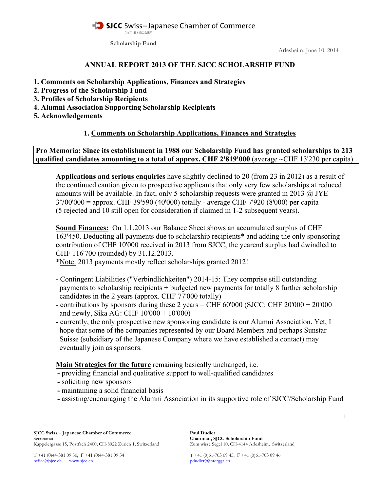#### SICC Swiss-Japanese Chamber of Commerce スイス-日本商工会議所

**Scholarship Fund**

Arlesheim, June 10, 2014

#### **ANNUAL REPORT 2013 OF THE SJCC SCHOLARSHIP FUND**

- **1. Comments on Scholarship Applications, Finances and Strategies**
- **2. Progress of the Scholarship Fund**
- **3. Profiles of Scholarship Recipients**
- **4. Alumni Association Supporting Scholarship Recipients**
- **5. Acknowledgements**

### **1. Comments on Scholarship Applications, Finances and Strategies**

**Pro Memoria: Since its establishment in 1988 our Scholarship Fund has granted scholarships to 213 qualified candidates amounting to a total of approx. CHF 2'819'000** (average ~CHF 13'230 per capita)

**Applications and serious enquiries** have slightly declined to 20 (from 23 in 2012) as a result of the continued caution given to prospective applicants that only very few scholarships at reduced amounts will be available. In fact, only 5 scholarship requests were granted in 2013  $\omega$  JYE 3'700'000 = approx. CHF 39'590 (40'000) totally - average CHF 7'920 (8'000) per capita (5 rejected and 10 still open for consideration if claimed in 1-2 subsequent years).

**Sound Finances:** On 1.1.2013 our Balance Sheet shows an accumulated surplus of CHF 163'450. Deducting all payments due to scholarship recipients\* and adding the only sponsoring contribution of CHF 10'000 received in 2013 from SJCC, the yearend surplus had dwindled to CHF 116'700 (rounded) by 31.12.2013.

\*Note: 2013 payments mostly reflect scholarships granted 2012!

- **-** Contingent Liabilities ("Verbindlichkeiten") 2014-15: They comprise still outstanding payments to scholarship recipients + budgeted new payments for totally 8 further scholarship candidates in the 2 years (approx. CHF 77'000 totally)
- contributions by sponsors during these 2 years = CHF  $60'000$  (SJCC: CHF  $20'000 + 20'000$ and newly, Sika AG: CHF 10'000 + 10'000)
- **-** currently, the only prospective new sponsoring candidate is our Alumni Association. Yet, I hope that some of the companies represented by our Board Members and perhaps Sunstar Suisse (subsidiary of the Japanese Company where we have established a contact) may eventually join as sponsors.

**Main Strategies for the future** remaining basically unchanged, i.e.

- **-** providing financial and qualitative support to well-qualified candidates
- **-** soliciting new sponsors
- **-** maintaining a solid financial basis
- **-** assisting/encouraging the Alumni Association in its supportive role of SJCC/Scholarship Fund

1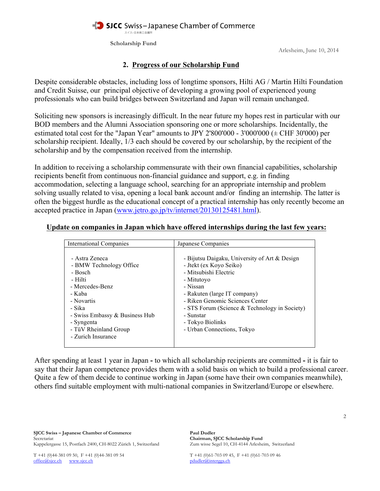#### SJCC Swiss-Japanese Chamber of Commerce スイス-日本商工会議所

**Scholarship Fund**

Arlesheim, June 10, 2014

### **2. Progress of our Scholarship Fund**

Despite considerable obstacles, including loss of longtime sponsors, Hilti AG / Martin Hilti Foundation and Credit Suisse, our principal objective of developing a growing pool of experienced young professionals who can build bridges between Switzerland and Japan will remain unchanged.

 Soliciting new sponsors is increasingly difficult. In the near future my hopes rest in particular with our BOD members and the Alumni Association sponsoring one or more scholarships. Incidentally, the estimated total cost for the "Japan Year" amounts to JPY 2'800'000 - 3'000'000  $(\pm$  CHF 30'000) per scholarship recipient. Ideally, 1/3 each should be covered by our scholarship, by the recipient of the scholarship and by the compensation received from the internship.

In addition to receiving a scholarship commensurate with their own financial capabilities, scholarship recipients benefit from continuous non-financial guidance and support, e.g. in finding accommodation, selecting a language school, searching for an appropriate internship and problem solving usually related to visa, opening a local bank account and/or finding an internship. The latter is often the biggest hurdle as the educational concept of a practical internship has only recently become an accepted practice in Japan (www.jetro.go.jp/tv/internet/20130125481.html).

#### **Update on companies in Japan which have offered internships during the last few years:**

| International Companies                                                                                                                                                                                             | Japanese Companies                                                                                                                                                                                                                                                                                               |
|---------------------------------------------------------------------------------------------------------------------------------------------------------------------------------------------------------------------|------------------------------------------------------------------------------------------------------------------------------------------------------------------------------------------------------------------------------------------------------------------------------------------------------------------|
| - Astra Zeneca<br>- BMW Technology Office<br>- Bosch<br>- Hilti<br>- Mercedes-Benz<br>- Kaba<br>- Novartis<br>- Sika<br>- Swiss Embassy & Business Hub<br>- Syngenta<br>- TüV Rheinland Group<br>- Zurich Insurance | - Bijutsu Daigaku, University of Art & Design<br>- Jtekt (ex Koyo Seiko)<br>- Mitsubishi Electric<br>- Mitutovo<br>- Nissan<br>- Rakuten (large IT company)<br>- Riken Genomic Sciences Center<br>- STS Forum (Science $&$ Technology in Society)<br>- Sunstar<br>- Tokyo Biolinks<br>- Urban Connections, Tokyo |

 After spending at least 1 year in Japan **-** to which all scholarship recipients are committed **-** it is fair to say that their Japan competence provides them with a solid basis on which to build a professional career. Quite a few of them decide to continue working in Japan (some have their own companies meanwhile), others find suitable employment with multi-national companies in Switzerland/Europe or elsewhere.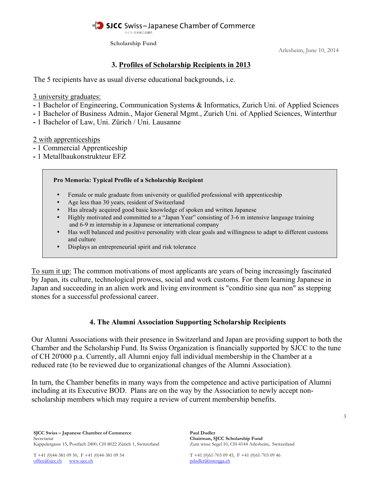#### SJCC Swiss-Japanese Chamber of Commerce スイス-日本商工会議所

**Scholarship Fund**

Arlesheim, June 10, 2014

### **3. Profiles of Scholarship Recipients in 2013**

The 5 recipients have as usual diverse educational backgrounds, i.e.

3 university graduates:

- **-** 1 Bachelor of Engineering, Communication Systems & Informatics, Zurich Uni. of Applied Sciences
- **-** 1 Bachelor of Business Admin., Major General Mgmt., Zurich Uni. of Applied Sciences, Winterthur
- **-** 1 Bachelor of Law, Uni. Zürich / Uni. Lausanne

## 2 with apprenticeships

- **-** 1 Commercial Apprenticeship
- **-** 1 Metallbaukonstrukteur EFZ

## **Pro Memoria: Typical Profile of a Scholarship Recipient**

- Female or male graduate from university or qualified professional with apprenticeship
- Age less than 30 years, resident of Switzerland
- Has already acquired good basic knowledge of spoken and written Japanese
- Highly motivated and committed to a "Japan Year" consisting of 3-6 m intensive language training and 6-9 m internship in a Japanese or international company
- Has well balanced and positive personality with clear goals and willingness to adapt to different customs and culture
- Displays an entrepreneurial spirit and risk tolerance

 To sum it up: The common motivations of most applicants are years of being increasingly fascinated by Japan, its culture, technological prowess, social and work customs. For them learning Japanese in Japan and succeeding in an alien work and living environment is "conditio sine qua non" as stepping stones for a successful professional career.

# **4. The Alumni Association Supporting Scholarship Recipients**

 Our Alumni Associations with their presence in Switzerland and Japan are providing support to both the Chamber and the Scholarship Fund. Its Swiss Organization is financially supported by SJCC to the tune of CH 20'000 p.a. Currently, all Alumni enjoy full individual membership in the Chamber at a reduced rate (to be reviewed due to organizational changes of the Alumni Association).

 In turn, the Chamber benefits in many ways from the competence and active participation of Alumni including at its Executive BOD. Plans are on the way by the Association to newly accept non scholarship members which may require a review of current membership benefits.

T +41 (0)44-381 09 50, F +41 (0)44-381 09 54<br>
office@sjcc.ch<br>
pdudler@intergga.ch<br>
pdudler@intergga.ch